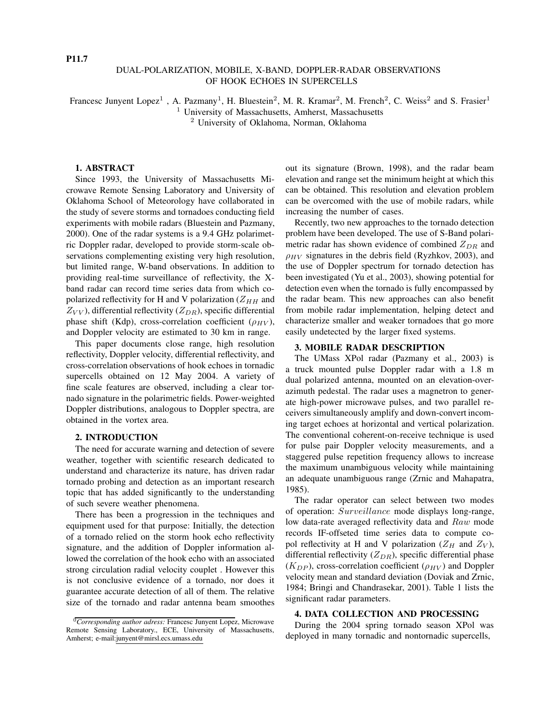# DUAL-POLARIZATION, MOBILE, X-BAND, DOPPLER-RADAR OBSERVATIONS OF HOOK ECHOES IN SUPERCELLS

Francesc Junyent Lopez<sup>1</sup>, A. Pazmany<sup>1</sup>, H. Bluestein<sup>2</sup>, M. R. Kramar<sup>2</sup>, M. French<sup>2</sup>, C. Weiss<sup>2</sup> and S. Frasier<sup>1</sup>

<sup>1</sup> University of Massachusetts, Amherst, Massachusetts

<sup>2</sup> University of Oklahoma, Norman, Oklahoma

### **1. ABSTRACT**

Since 1993, the University of Massachusetts Microwave Remote Sensing Laboratory and University of Oklahoma School of Meteorology have collaborated in the study of severe storms and tornadoes conducting field experiments with mobile radars (Bluestein and Pazmany, 2000). One of the radar systems is a 9.4 GHz polarimetric Doppler radar, developed to provide storm-scale observations complementing existing very high resolution, but limited range, W-band observations. In addition to providing real-time surveillance of reflectivity, the Xband radar can record time series data from which copolarized reflectivity for H and V polarization  $(Z_{HH}$  and  $Z_{VV}$ ), differential reflectivity ( $Z_{DR}$ ), specific differential phase shift (Kdp), cross-correlation coefficient ( $\rho_{HV}$ ), and Doppler velocity are estimated to 30 km in range.

This paper documents close range, high resolution reflectivity, Doppler velocity, differential reflectivity, and cross-correlation observations of hook echoes in tornadic supercells obtained on 12 May 2004. A variety of fine scale features are observed, including a clear tornado signature in the polarimetric fields. Power-weighted Doppler distributions, analogous to Doppler spectra, are obtained in the vortex area.

# **2. INTRODUCTION**

The need for accurate warning and detection of severe weather, together with scientific research dedicated to understand and characterize its nature, has driven radar tornado probing and detection as an important research topic that has added significantly to the understanding of such severe weather phenomena.

There has been a progression in the techniques and equipment used for that purpose: Initially, the detection of a tornado relied on the storm hook echo reflectivity signature, and the addition of Doppler information allowed the correlation of the hook echo with an associated strong circulation radial velocity couplet . However this is not conclusive evidence of a tornado, nor does it guarantee accurate detection of all of them. The relative size of the tornado and radar antenna beam smoothes out its signature (Brown, 1998), and the radar beam elevation and range set the minimum height at which this can be obtained. This resolution and elevation problem can be overcomed with the use of mobile radars, while increasing the number of cases.

Recently, two new approaches to the tornado detection problem have been developed. The use of S-Band polarimetric radar has shown evidence of combined  $Z_{DR}$  and  $\rho_{HV}$  signatures in the debris field (Ryzhkov, 2003), and the use of Doppler spectrum for tornado detection has been investigated (Yu et al., 2003), showing potential for detection even when the tornado is fully encompassed by the radar beam. This new approaches can also benefit from mobile radar implementation, helping detect and characterize smaller and weaker tornadoes that go more easily undetected by the larger fixed systems.

### **3. MOBILE RADAR DESCRIPTION**

The UMass XPol radar (Pazmany et al., 2003) is a truck mounted pulse Doppler radar with a 1.8 m dual polarized antenna, mounted on an elevation-overazimuth pedestal. The radar uses a magnetron to generate high-power microwave pulses, and two parallel receivers simultaneously amplify and down-convert incoming target echoes at horizontal and vertical polarization. The conventional coherent-on-receive technique is used for pulse pair Doppler velocity measurements, and a staggered pulse repetition frequency allows to increase the maximum unambiguous velocity while maintaining an adequate unambiguous range (Zrnic and Mahapatra, 1985).

The radar operator can select between two modes of operation: Surveillance mode displays long-range, low data-rate averaged reflectivity data and Raw mode records IF-offseted time series data to compute copol reflectivity at H and V polarization ( $Z_H$  and  $Z_V$ ), differential reflectivity  $(Z_{DR})$ , specific differential phase  $(K_{DP})$ , cross-correlation coefficient  $(\rho_{HV})$  and Doppler velocity mean and standard deviation (Doviak and Zrnic, 1984; Bringi and Chandrasekar, 2001). Table 1 lists the significant radar parameters.

# **4. DATA COLLECTION AND PROCESSING**

During the 2004 spring tornado season XPol was deployed in many tornadic and nontornadic supercells,

<sup>0</sup>*Corresponding author adress:* Francesc Junyent Lopez, Microwave Remote Sensing Laboratory., ECE, University of Massachusetts, Amherst; e-mail:junyent@mirsl.ecs.umass.edu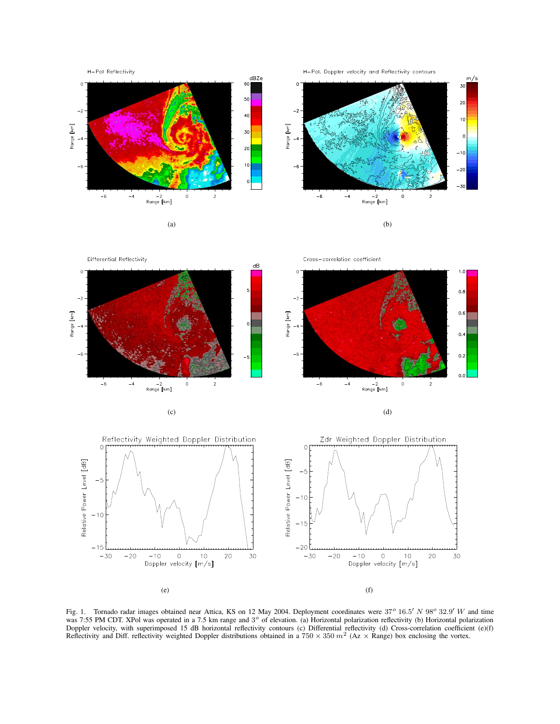







 $1.0$ 

 $_{0.8}\,$ 

 $0.6$ 

 $0,4$ 

 $0.2$ 

 $0.0$ 

Differential Reflectivity Cross-correlation coefficient dB  $\circ$  $\epsilon$  $-2$ Range [km] Range [km]  $-6$  $-6$  $-6$  $-4$  $\circ$ –2<br>Range [km] –2<br>Range [km]



 $(c)$  (d)

Fig. 1. Tornado radar images obtained near Attica, KS on 12 May 2004. Deployment coordinates were  $37^{\circ}$  16.5' N 98° 32.9' W and time was 7:55 PM CDT. XPol was operated in a 7.5 km range and 3° of elevation. (a) Horizontal polarization reflectivity (b) Horizontal polarization Doppler velocity, with superimposed 15 dB horizontal reflectivity contours (c) Differential reflectivity (d) Cross-correlation coefficient (e)(f) Reflectivity and Diff. reflectivity weighted Doppler distributions obtained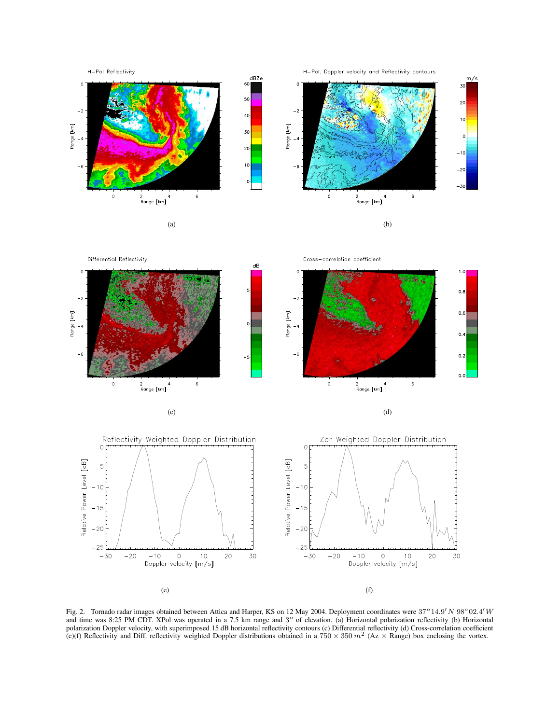

H-Pol. Doppler velocity and Reflectivity contours









Fig. 2. Tornado radar images obtained between Attica and Harper, KS on 12 May 2004. Deployment coordinates were  $37^o14.9'N98^o02.4'W$ and time was 8:25 PM CDT. XPol was operated in a 7.5 km range and  $3^\circ$  of elevation. (a) Horizontal polarization reflectivity (b) Horizontal polarization Doppler velocity, with superimposed 15 dB horizontal reflectivity contours (c) Differential reflectivity (d) Cross-correlation coefficient (e)(f) Reflectivity and Diff. reflectivity weighted Doppler distribut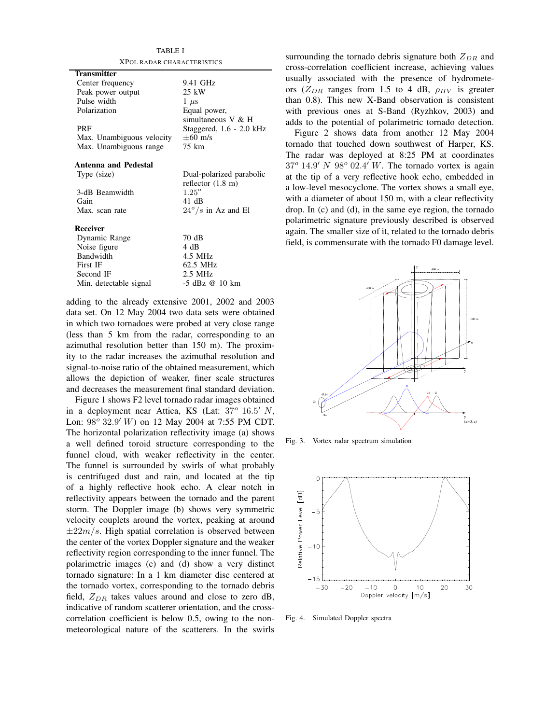| TABLE I                    |                             |
|----------------------------|-----------------------------|
| XPOL RADAR CHARACTERISTICS |                             |
| <b>Transmitter</b>         |                             |
| Center frequency           | 9.41 GHz                    |
| Peak power output          | 25 kW                       |
| Pulse width                | $1 \mu s$                   |
| Polarization               | Equal power,                |
|                            | simultaneous $V & H$        |
| PRF                        | Staggered, $1.6 - 2.0$ kHz  |
| Max. Unambiguous velocity  | $\pm 60$ m/s                |
| Max. Unambiguous range     | 75 km                       |
|                            |                             |
| Antenna and Pedestal       |                             |
| Type (size)                | Dual-polarized parabolic    |
|                            | reflector $(1.8 \text{ m})$ |
| 3-dB Beamwidth             | $1.25^{o}$                  |
| Gain                       | 41 dB                       |
| Max. scan rate             | $24^{\circ}/s$ in Az and El |
|                            |                             |
| <b>Receiver</b>            |                             |
| Dynamic Range              | 70 dB                       |
| Noise figure               | 4 dB                        |
| <b>Bandwidth</b>           | 4.5 MHz                     |
| First IF                   | 62.5 MHz                    |
| Second IF                  | $2.5$ MHz                   |
| Min. detectable signal     | -5 dBz @ 10 km              |

TABLE I

adding to the already extensive 2001, 2002 and 2003 data set. On 12 May 2004 two data sets were obtained in which two tornadoes were probed at very close range (less than 5 km from the radar, corresponding to an azimuthal resolution better than 150 m). The proximity to the radar increases the azimuthal resolution and signal-to-noise ratio of the obtained measurement, which allows the depiction of weaker, finer scale structures and decreases the measurement final standard deviation.

Figure 1 shows F2 level tornado radar images obtained in a deployment near Attica, KS (Lat:  $37^{\circ}$  16.5' N, Lon:  $98^{\circ}$   $32.9'$  W) on 12 May 2004 at 7:55 PM CDT. The horizontal polarization reflectivity image (a) shows a well defined toroid structure corresponding to the funnel cloud, with weaker reflectivity in the center. The funnel is surrounded by swirls of what probably is centrifuged dust and rain, and located at the tip of a highly reflective hook echo. A clear notch in reflectivity appears between the tornado and the parent storm. The Doppler image (b) shows very symmetric velocity couplets around the vortex, peaking at around  $\pm 22m/s$ . High spatial correlation is observed between the center of the vortex Doppler signature and the weaker reflectivity region corresponding to the inner funnel. The polarimetric images (c) and (d) show a very distinct tornado signature: In a 1 km diameter disc centered at the tornado vortex, corresponding to the tornado debris field,  $Z_{DR}$  takes values around and close to zero dB, indicative of random scatterer orientation, and the crosscorrelation coefficient is below 0.5, owing to the nonmeteorological nature of the scatterers. In the swirls surrounding the tornado debris signature both  $Z_{DR}$  and cross-correlation coefficient increase, achieving values usually associated with the presence of hydrometeors ( $Z_{DR}$  ranges from 1.5 to 4 dB,  $\rho_{HV}$  is greater than 0.8). This new X-Band observation is consistent with previous ones at S-Band (Ryzhkov, 2003) and adds to the potential of polarimetric tornado detection.

Figure 2 shows data from another 12 May 2004 tornado that touched down southwest of Harper, KS. The radar was deployed at 8:25 PM at coordinates  $37^{\circ}$  14.9' N 98° 02.4' W. The tornado vortex is again at the tip of a very reflective hook echo, embedded in a low-level mesocyclone. The vortex shows a small eye, with a diameter of about 150 m, with a clear reflectivity drop. In (c) and (d), in the same eye region, the tornado polarimetric signature previously described is observed again. The smaller size of it, related to the tornado debris field, is commensurate with the tornado F0 damage level.



Fig. 3. Vortex radar spectrum simulation



Fig. 4. Simulated Doppler spectra